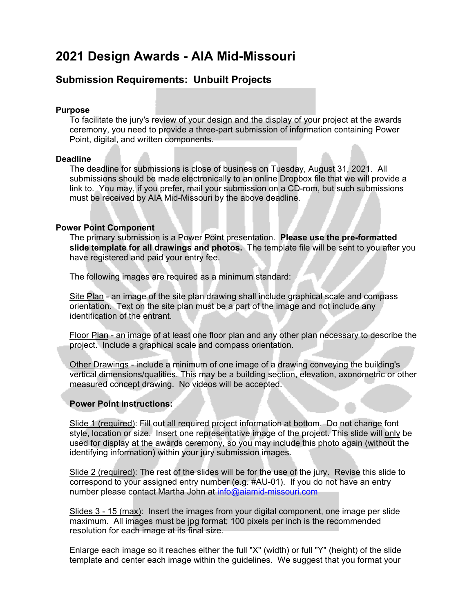# **2021 Design Awards - AIA Mid-Missouri**

### **Submission Requirements: Unbuilt Projects**

#### **Purpose**

To facilitate the jury's review of your design and the display of your project at the awards ceremony, you need to provide a three-part submission of information containing Power Point, digital, and written components.

#### **Deadline**

The deadline for submissions is close of business on Tuesday, August 31, 2021. All submissions should be made electronically to an online Dropbox file that we will provide a link to. You may, if you prefer, mail your submission on a CD-rom, but such submissions must be received by AIA Mid-Missouri by the above deadline.

#### **Power Point Component**

The primary submission is a Power Point presentation. **Please use the pre-formatted slide template for all drawings and photos.** The template file will be sent to you after you have registered and paid your entry fee.

The following images are required as a minimum standard:

Site Plan - an image of the site plan drawing shall include graphical scale and compass orientation. Text on the site plan must be a part of the image and not include any identification of the entrant.

Floor Plan - an image of at least one floor plan and any other plan necessary to describe the project. Include a graphical scale and compass orientation.

Other Drawings - include a minimum of one image of a drawing conveying the building's vertical dimensions/qualities. This may be a building section, elevation, axonometric or other measured concept drawing. No videos will be accepted.

### **Power Point Instructions:**

Slide 1 (required): Fill out all required project information at bottom. Do not change font style, location or size. Insert one representative image of the project. This slide will only be used for display at the awards ceremony, so you may include this photo again (without the identifying information) within your jury submission images.

Slide 2 (required): The rest of the slides will be for the use of the jury. Revise this slide to correspond to your assigned entry number (e.g. #AU-01). If you do not have an entry number please contact Martha John at info@aiamid-missouri.com

Slides 3 - 15 (max): Insert the images from your digital component, one image per slide maximum. All images must be jpg format; 100 pixels per inch is the recommended resolution for each image at its final size.

Enlarge each image so it reaches either the full "X" (width) or full "Y" (height) of the slide template and center each image within the guidelines. We suggest that you format your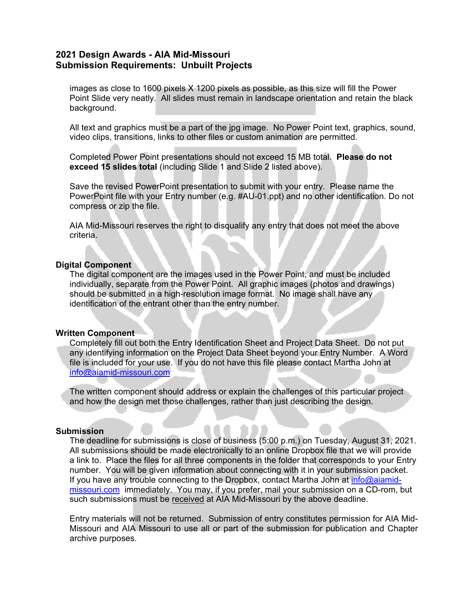### **2021 Design Awards - AIA Mid-Missouri Submission Requirements: Unbuilt Projects**

images as close to 1600 pixels X 1200 pixels as possible, as this size will fill the Power Point Slide very neatly. All slides must remain in landscape orientation and retain the black background.

All text and graphics must be a part of the jpg image. No Power Point text, graphics, sound, video clips, transitions, links to other files or custom animation are permitted.

Completed Power Point presentations should not exceed 15 MB total. **Please do not exceed 15 slides total** (including Slide 1 and Slide 2 listed above).

Save the revised PowerPoint presentation to submit with your entry. Please name the PowerPoint file with your Entry number (e.g. #AU-01.ppt) and no other identification. Do not compress or zip the file.

AIA Mid-Missouri reserves the right to disqualify any entry that does not meet the above criteria.

#### **Digital Component**

The digital component are the images used in the Power Point, and must be included individually, separate from the Power Point. All graphic images (photos and drawings) should be submitted in a high-resolution image format. No image shall have any identification of the entrant other than the entry number.

#### **Written Component**

Completely fill out both the Entry Identification Sheet and Project Data Sheet. Do not put any identifying information on the Project Data Sheet beyond your Entry Number. A Word file is included for your use. If you do not have this file please contact Martha John at info@aiamid-missouri.com

The written component should address or explain the challenges of this particular project and how the design met those challenges, rather than just describing the design.

#### **Submission**

The deadline for submissions is close of business (5:00 p.m.) on Tuesday, August 31, 2021. All submissions should be made electronically to an online Dropbox file that we will provide a link to. Place the files for all three components in the folder that corresponds to your Entry number. You will be given information about connecting with it in your submission packet. If you have any trouble connecting to the Dropbox, contact Martha John at info@aiamidmissouri.com immediately. You may, if you prefer, mail your submission on a CD-rom, but such submissions must be received at AIA Mid-Missouri by the above deadline.

Entry materials will not be returned. Submission of entry constitutes permission for AIA Mid-Missouri and AIA Missouri to use all or part of the submission for publication and Chapter archive purposes.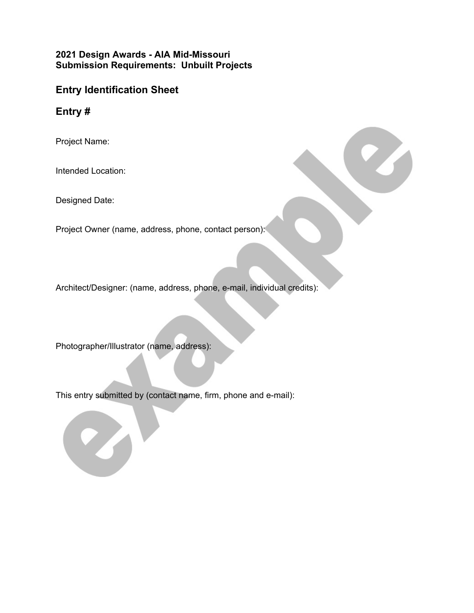## **2021 Design Awards - AIA Mid-Missouri Submission Requirements: Unbuilt Projects**

# **Entry Identification Sheet**

**Entry #**

Project Name:

Intended Location:

Designed Date:

Project Owner (name, address, phone, contact person):

Architect/Designer: (name, address, phone, e-mail, individual credits):

Photographer/Illustrator (name, address):

This entry submitted by (contact name, firm, phone and e-mail):